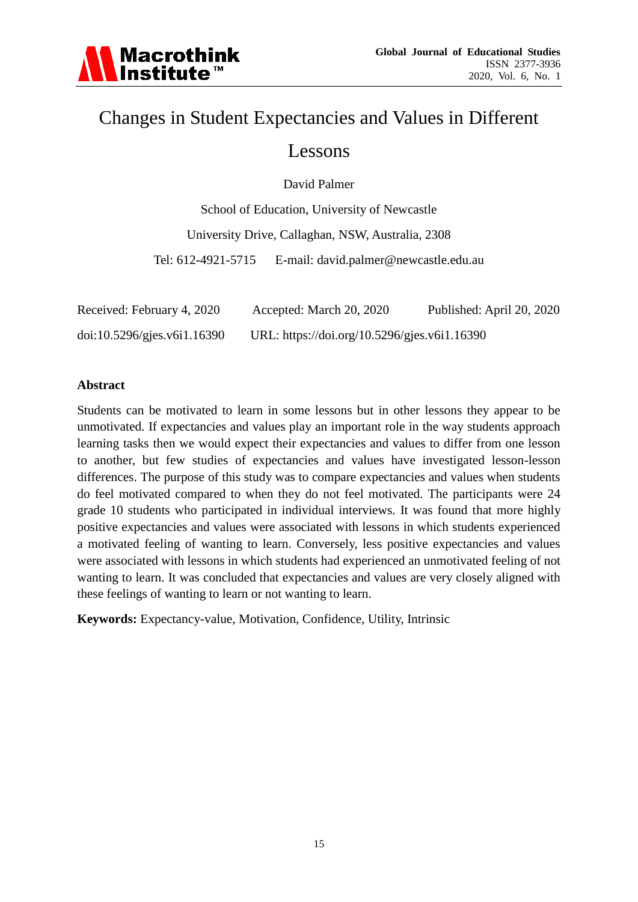

# Changes in Student Expectancies and Values in Different

### Lessons

David Palmer

School of Education, University of Newcastle University Drive, Callaghan, NSW, Australia, 2308 Tel: 612-4921-5715 E-mail: david.palmer@newcastle.edu.au

| Received: February 4, 2020  | Accepted: March 20, 2020                     | Published: April 20, 2020 |
|-----------------------------|----------------------------------------------|---------------------------|
| doi:10.5296/gjes.v611.16390 | URL: https://doi.org/10.5296/gjes.v6i1.16390 |                           |

#### **Abstract**

Students can be motivated to learn in some lessons but in other lessons they appear to be unmotivated. If expectancies and values play an important role in the way students approach learning tasks then we would expect their expectancies and values to differ from one lesson to another, but few studies of expectancies and values have investigated lesson-lesson differences. The purpose of this study was to compare expectancies and values when students do feel motivated compared to when they do not feel motivated. The participants were 24 grade 10 students who participated in individual interviews. It was found that more highly positive expectancies and values were associated with lessons in which students experienced a motivated feeling of wanting to learn. Conversely, less positive expectancies and values were associated with lessons in which students had experienced an unmotivated feeling of not wanting to learn. It was concluded that expectancies and values are very closely aligned with these feelings of wanting to learn or not wanting to learn.

**Keywords:** Expectancy-value, Motivation, Confidence, Utility, Intrinsic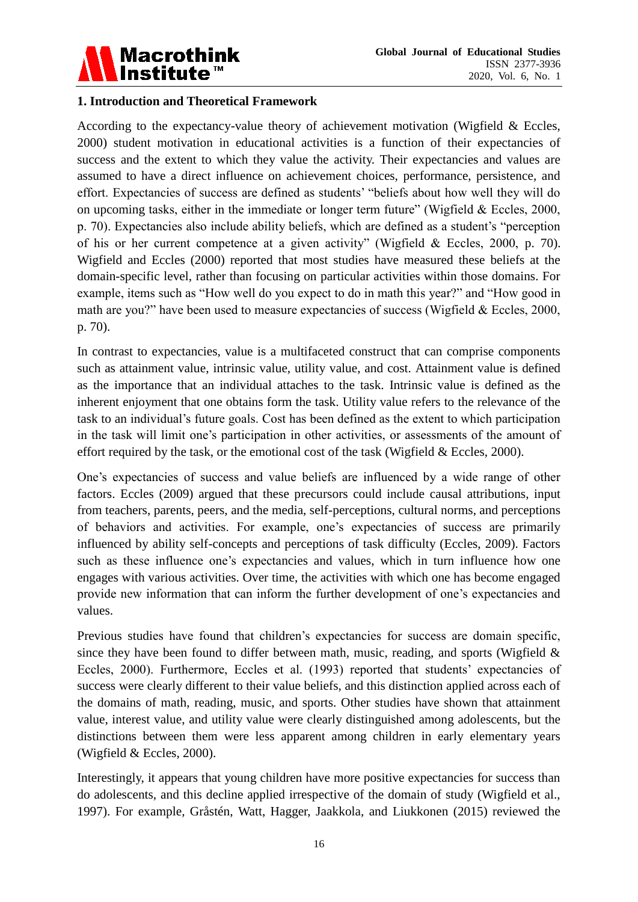

#### **1. Introduction and Theoretical Framework**

According to the expectancy-value theory of achievement motivation (Wigfield & Eccles, 2000) student motivation in educational activities is a function of their expectancies of success and the extent to which they value the activity. Their expectancies and values are assumed to have a direct influence on achievement choices, performance, persistence, and effort. Expectancies of success are defined as students' "beliefs about how well they will do on upcoming tasks, either in the immediate or longer term future" (Wigfield & Eccles, 2000, p. 70). Expectancies also include ability beliefs, which are defined as a student"s "perception of his or her current competence at a given activity" (Wigfield & Eccles, 2000, p. 70). Wigfield and Eccles (2000) reported that most studies have measured these beliefs at the domain-specific level, rather than focusing on particular activities within those domains. For example, items such as "How well do you expect to do in math this year?" and "How good in math are you?" have been used to measure expectancies of success (Wigfield & Eccles, 2000, p. 70).

In contrast to expectancies, value is a multifaceted construct that can comprise components such as attainment value, intrinsic value, utility value, and cost. Attainment value is defined as the importance that an individual attaches to the task. Intrinsic value is defined as the inherent enjoyment that one obtains form the task. Utility value refers to the relevance of the task to an individual"s future goals. Cost has been defined as the extent to which participation in the task will limit one"s participation in other activities, or assessments of the amount of effort required by the task, or the emotional cost of the task (Wigfield & Eccles, 2000).

One"s expectancies of success and value beliefs are influenced by a wide range of other factors. Eccles (2009) argued that these precursors could include causal attributions, input from teachers, parents, peers, and the media, self-perceptions, cultural norms, and perceptions of behaviors and activities. For example, one"s expectancies of success are primarily influenced by ability self-concepts and perceptions of task difficulty (Eccles, 2009). Factors such as these influence one's expectancies and values, which in turn influence how one engages with various activities. Over time, the activities with which one has become engaged provide new information that can inform the further development of one"s expectancies and values.

Previous studies have found that children's expectancies for success are domain specific, since they have been found to differ between math, music, reading, and sports (Wigfield  $\&$ Eccles, 2000). Furthermore, Eccles et al. (1993) reported that students' expectancies of success were clearly different to their value beliefs, and this distinction applied across each of the domains of math, reading, music, and sports. Other studies have shown that attainment value, interest value, and utility value were clearly distinguished among adolescents, but the distinctions between them were less apparent among children in early elementary years (Wigfield & Eccles, 2000).

Interestingly, it appears that young children have more positive expectancies for success than do adolescents, and this decline applied irrespective of the domain of study (Wigfield et al., 1997). For example, Gråstén, Watt, Hagger, Jaakkola, and Liukkonen (2015) reviewed the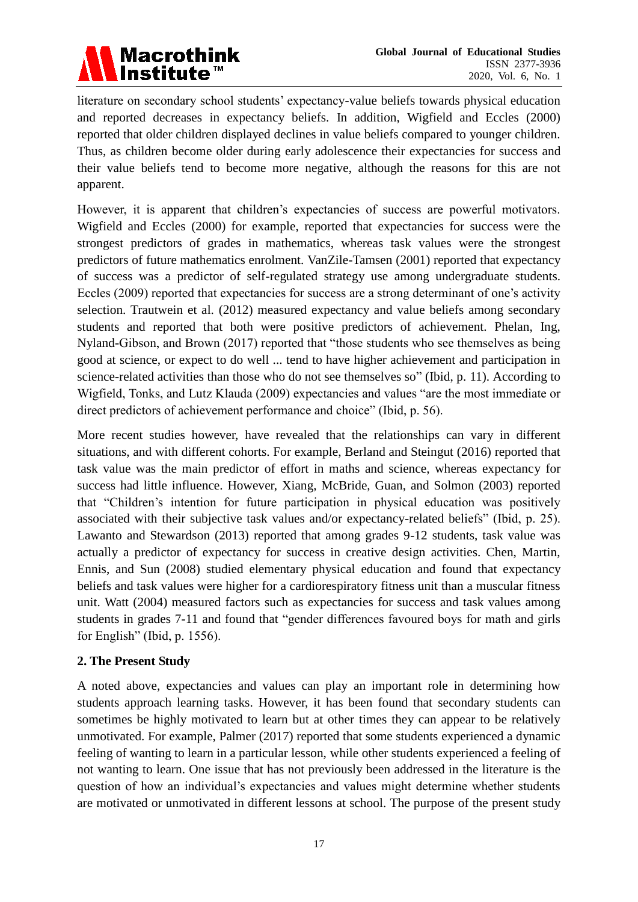

literature on secondary school students' expectancy-value beliefs towards physical education and reported decreases in expectancy beliefs. In addition, Wigfield and Eccles (2000) reported that older children displayed declines in value beliefs compared to younger children. Thus, as children become older during early adolescence their expectancies for success and their value beliefs tend to become more negative, although the reasons for this are not apparent.

However, it is apparent that children's expectancies of success are powerful motivators. Wigfield and Eccles (2000) for example, reported that expectancies for success were the strongest predictors of grades in mathematics, whereas task values were the strongest predictors of future mathematics enrolment. VanZile-Tamsen (2001) reported that expectancy of success was a predictor of self-regulated strategy use among undergraduate students. Eccles (2009) reported that expectancies for success are a strong determinant of one's activity selection. Trautwein et al. (2012) measured expectancy and value beliefs among secondary students and reported that both were positive predictors of achievement. Phelan, Ing, Nyland-Gibson, and Brown (2017) reported that "those students who see themselves as being good at science, or expect to do well ... tend to have higher achievement and participation in science-related activities than those who do not see themselves so" (Ibid, p. 11). According to Wigfield, Tonks, and Lutz Klauda (2009) expectancies and values "are the most immediate or direct predictors of achievement performance and choice" (Ibid, p. 56).

More recent studies however, have revealed that the relationships can vary in different situations, and with different cohorts. For example, Berland and Steingut (2016) reported that task value was the main predictor of effort in maths and science, whereas expectancy for success had little influence. However, Xiang, McBride, Guan, and Solmon (2003) reported that "Children"s intention for future participation in physical education was positively associated with their subjective task values and/or expectancy-related beliefs" (Ibid, p. 25). Lawanto and Stewardson (2013) reported that among grades 9-12 students, task value was actually a predictor of expectancy for success in creative design activities. Chen, Martin, Ennis, and Sun (2008) studied elementary physical education and found that expectancy beliefs and task values were higher for a cardiorespiratory fitness unit than a muscular fitness unit. Watt (2004) measured factors such as expectancies for success and task values among students in grades 7-11 and found that "gender differences favoured boys for math and girls for English" (Ibid, p. 1556).

#### **2. The Present Study**

A noted above, expectancies and values can play an important role in determining how students approach learning tasks. However, it has been found that secondary students can sometimes be highly motivated to learn but at other times they can appear to be relatively unmotivated. For example, Palmer (2017) reported that some students experienced a dynamic feeling of wanting to learn in a particular lesson, while other students experienced a feeling of not wanting to learn. One issue that has not previously been addressed in the literature is the question of how an individual"s expectancies and values might determine whether students are motivated or unmotivated in different lessons at school. The purpose of the present study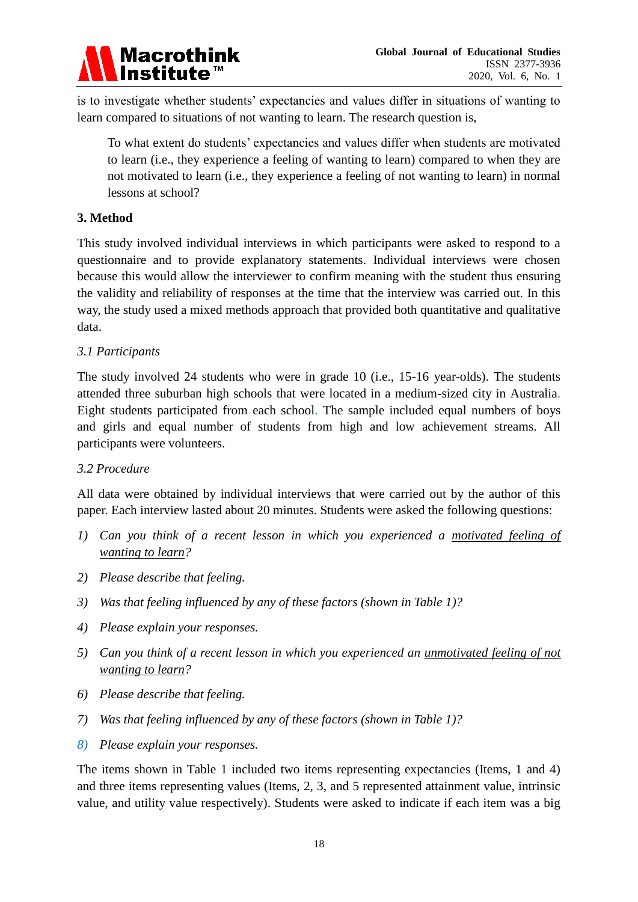

is to investigate whether students' expectancies and values differ in situations of wanting to learn compared to situations of not wanting to learn. The research question is,

To what extent do students" expectancies and values differ when students are motivated to learn (i.e., they experience a feeling of wanting to learn) compared to when they are not motivated to learn (i.e., they experience a feeling of not wanting to learn) in normal lessons at school?

#### **3. Method**

This study involved individual interviews in which participants were asked to respond to a questionnaire and to provide explanatory statements. Individual interviews were chosen because this would allow the interviewer to confirm meaning with the student thus ensuring the validity and reliability of responses at the time that the interview was carried out. In this way, the study used a mixed methods approach that provided both quantitative and qualitative data.

#### *3.1 Participants*

The study involved 24 students who were in grade 10 (i.e., 15-16 year-olds). The students attended three suburban high schools that were located in a medium-sized city in Australia. Eight students participated from each school. The sample included equal numbers of boys and girls and equal number of students from high and low achievement streams. All participants were volunteers.

#### *3.2 Procedure*

All data were obtained by individual interviews that were carried out by the author of this paper. Each interview lasted about 20 minutes. Students were asked the following questions:

- *1) Can you think of a recent lesson in which you experienced a motivated feeling of wanting to learn?*
- *2) Please describe that feeling.*
- *3) Was that feeling influenced by any of these factors (shown in Table 1)?*
- *4) Please explain your responses.*
- *5) Can you think of a recent lesson in which you experienced an unmotivated feeling of not wanting to learn?*
- *6) Please describe that feeling.*
- *7) Was that feeling influenced by any of these factors (shown in Table 1)?*
- *8) Please explain your responses.*

The items shown in Table 1 included two items representing expectancies (Items, 1 and 4) and three items representing values (Items, 2, 3, and 5 represented attainment value, intrinsic value, and utility value respectively). Students were asked to indicate if each item was a big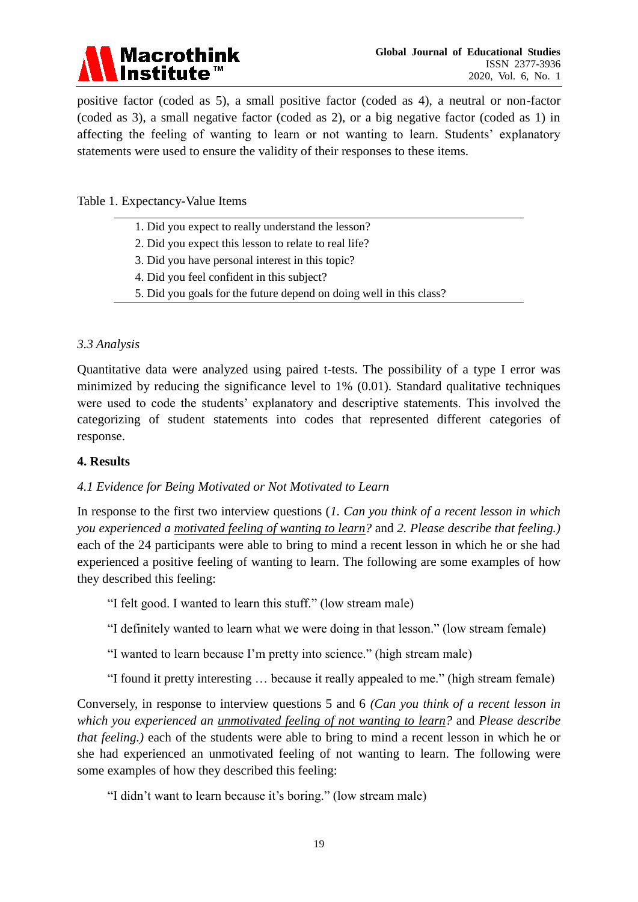

positive factor (coded as 5), a small positive factor (coded as 4), a neutral or non-factor (coded as 3), a small negative factor (coded as 2), or a big negative factor (coded as 1) in affecting the feeling of wanting to learn or not wanting to learn. Students' explanatory statements were used to ensure the validity of their responses to these items.

Table 1. Expectancy-Value Items

- 1. Did you expect to really understand the lesson?
- 2. Did you expect this lesson to relate to real life?
- 3. Did you have personal interest in this topic?
- 4. Did you feel confident in this subject?
- 5. Did you goals for the future depend on doing well in this class?

#### *3.3 Analysis*

Quantitative data were analyzed using paired t-tests. The possibility of a type I error was minimized by reducing the significance level to 1% (0.01). Standard qualitative techniques were used to code the students' explanatory and descriptive statements. This involved the categorizing of student statements into codes that represented different categories of response.

#### **4. Results**

#### *4.1 Evidence for Being Motivated or Not Motivated to Learn*

In response to the first two interview questions (*1. Can you think of a recent lesson in which you experienced a motivated feeling of wanting to learn?* and *2. Please describe that feeling.)* each of the 24 participants were able to bring to mind a recent lesson in which he or she had experienced a positive feeling of wanting to learn. The following are some examples of how they described this feeling:

"I felt good. I wanted to learn this stuff." (low stream male)

"I definitely wanted to learn what we were doing in that lesson." (low stream female)

"I wanted to learn because I"m pretty into science." (high stream male)

"I found it pretty interesting … because it really appealed to me." (high stream female)

Conversely, in response to interview questions 5 and 6 *(Can you think of a recent lesson in which you experienced an unmotivated feeling of not wanting to learn?* and *Please describe that feeling.)* each of the students were able to bring to mind a recent lesson in which he or she had experienced an unmotivated feeling of not wanting to learn. The following were some examples of how they described this feeling:

"I didn't want to learn because it's boring." (low stream male)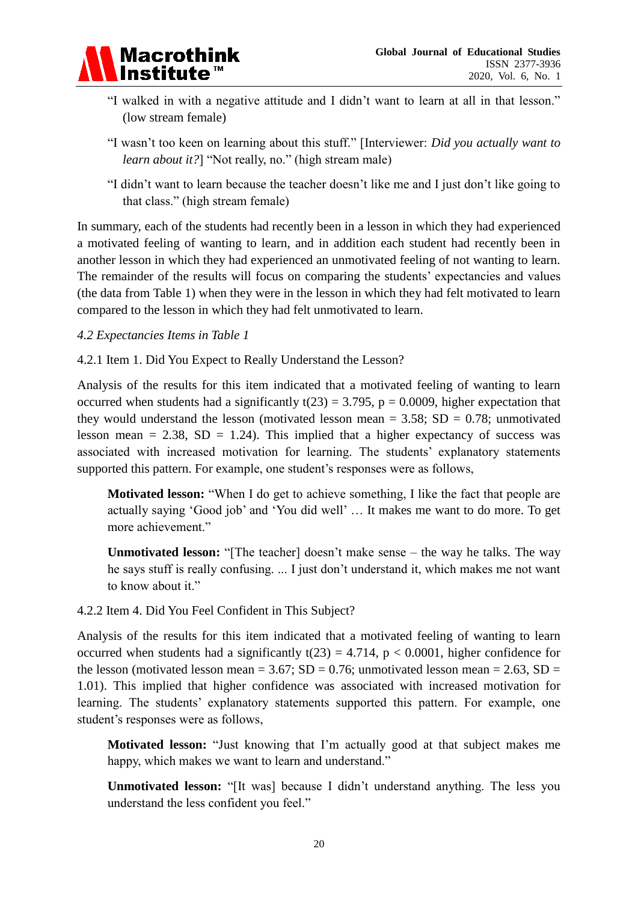

- "I walked in with a negative attitude and I didn"t want to learn at all in that lesson." (low stream female)
- "I wasn"t too keen on learning about this stuff." [Interviewer: *Did you actually want to learn about it?*] "Not really, no." (high stream male)
- "I didn"t want to learn because the teacher doesn"t like me and I just don"t like going to that class." (high stream female)

In summary, each of the students had recently been in a lesson in which they had experienced a motivated feeling of wanting to learn, and in addition each student had recently been in another lesson in which they had experienced an unmotivated feeling of not wanting to learn. The remainder of the results will focus on comparing the students' expectancies and values (the data from Table 1) when they were in the lesson in which they had felt motivated to learn compared to the lesson in which they had felt unmotivated to learn.

#### *4.2 Expectancies Items in Table 1*

#### 4.2.1 Item 1. Did You Expect to Really Understand the Lesson?

Analysis of the results for this item indicated that a motivated feeling of wanting to learn occurred when students had a significantly  $t(23) = 3.795$ ,  $p = 0.0009$ , higher expectation that they would understand the lesson (motivated lesson mean =  $3.58$ ; SD = 0.78; unmotivated lesson mean  $= 2.38$ , SD  $= 1.24$ ). This implied that a higher expectancy of success was associated with increased motivation for learning. The students' explanatory statements supported this pattern. For example, one student's responses were as follows,

**Motivated lesson:** "When I do get to achieve something, I like the fact that people are actually saying "Good job" and "You did well" … It makes me want to do more. To get more achievement."

**Unmotivated lesson:** "[The teacher] doesn't make sense – the way he talks. The way he says stuff is really confusing. ... I just don"t understand it, which makes me not want to know about it."

#### 4.2.2 Item 4. Did You Feel Confident in This Subject?

Analysis of the results for this item indicated that a motivated feeling of wanting to learn occurred when students had a significantly  $t(23) = 4.714$ ,  $p < 0.0001$ , higher confidence for the lesson (motivated lesson mean =  $3.67$ ; SD =  $0.76$ ; unmotivated lesson mean =  $2.63$ , SD = 1.01). This implied that higher confidence was associated with increased motivation for learning. The students' explanatory statements supported this pattern. For example, one student"s responses were as follows,

**Motivated lesson:** "Just knowing that I"m actually good at that subject makes me happy, which makes we want to learn and understand."

**Unmotivated lesson:** "[It was] because I didn"t understand anything. The less you understand the less confident you feel."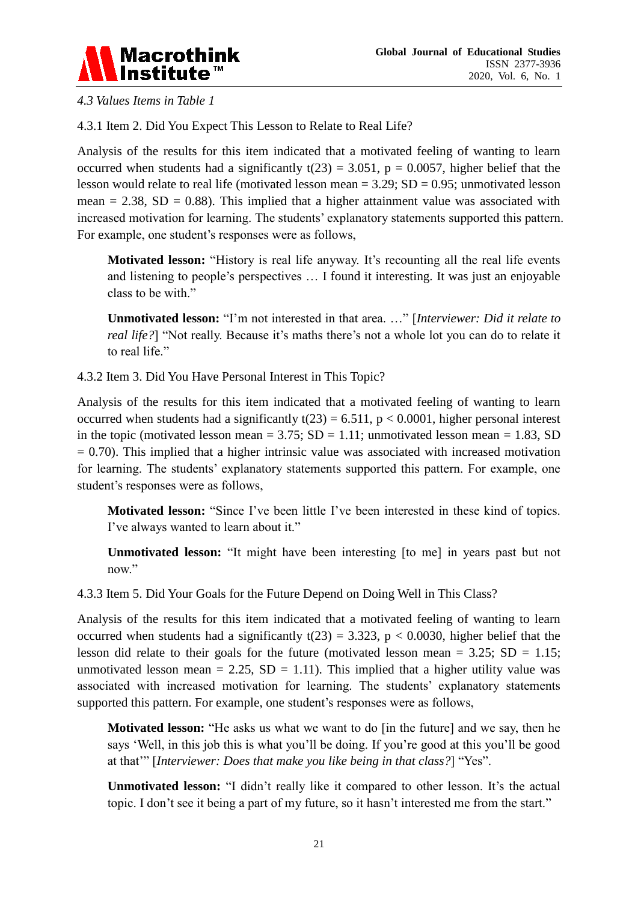

*4.3 Values Items in Table 1*

4.3.1 Item 2. Did You Expect This Lesson to Relate to Real Life?

Analysis of the results for this item indicated that a motivated feeling of wanting to learn occurred when students had a significantly  $t(23) = 3.051$ ,  $p = 0.0057$ , higher belief that the lesson would relate to real life (motivated lesson mean  $= 3.29$ ; SD  $= 0.95$ ; unmotivated lesson mean  $= 2.38$ , SD  $= 0.88$ ). This implied that a higher attainment value was associated with increased motivation for learning. The students' explanatory statements supported this pattern. For example, one student's responses were as follows,

**Motivated lesson:** "History is real life anyway. It's recounting all the real life events and listening to people's perspectives ... I found it interesting. It was just an enjoyable class to be with."

**Unmotivated lesson:** "I"m not interested in that area. …" [*Interviewer: Did it relate to real life?*] "Not really. Because it's maths there's not a whole lot you can do to relate it to real life."

4.3.2 Item 3. Did You Have Personal Interest in This Topic?

Analysis of the results for this item indicated that a motivated feeling of wanting to learn occurred when students had a significantly  $t(23) = 6.511$ ,  $p < 0.0001$ , higher personal interest in the topic (motivated lesson mean =  $3.75$ ; SD = 1.11; unmotivated lesson mean = 1.83, SD  $= 0.70$ ). This implied that a higher intrinsic value was associated with increased motivation for learning. The students' explanatory statements supported this pattern. For example, one student"s responses were as follows,

**Motivated lesson:** "Since I've been little I've been interested in these kind of topics. I've always wanted to learn about it."

**Unmotivated lesson:** "It might have been interesting [to me] in years past but not now."

4.3.3 Item 5. Did Your Goals for the Future Depend on Doing Well in This Class?

Analysis of the results for this item indicated that a motivated feeling of wanting to learn occurred when students had a significantly  $t(23) = 3.323$ ,  $p < 0.0030$ , higher belief that the lesson did relate to their goals for the future (motivated lesson mean  $= 3.25$ ; SD  $= 1.15$ ; unmotivated lesson mean = 2.25,  $SD = 1.11$ ). This implied that a higher utility value was associated with increased motivation for learning. The students' explanatory statements supported this pattern. For example, one student's responses were as follows,

**Motivated lesson:** "He asks us what we want to do [in the future] and we say, then he says "Well, in this job this is what you"ll be doing. If you"re good at this you"ll be good at that"" [*Interviewer: Does that make you like being in that class?*] "Yes".

**Unmotivated lesson:** "I didn't really like it compared to other lesson. It's the actual topic. I don't see it being a part of my future, so it hasn't interested me from the start."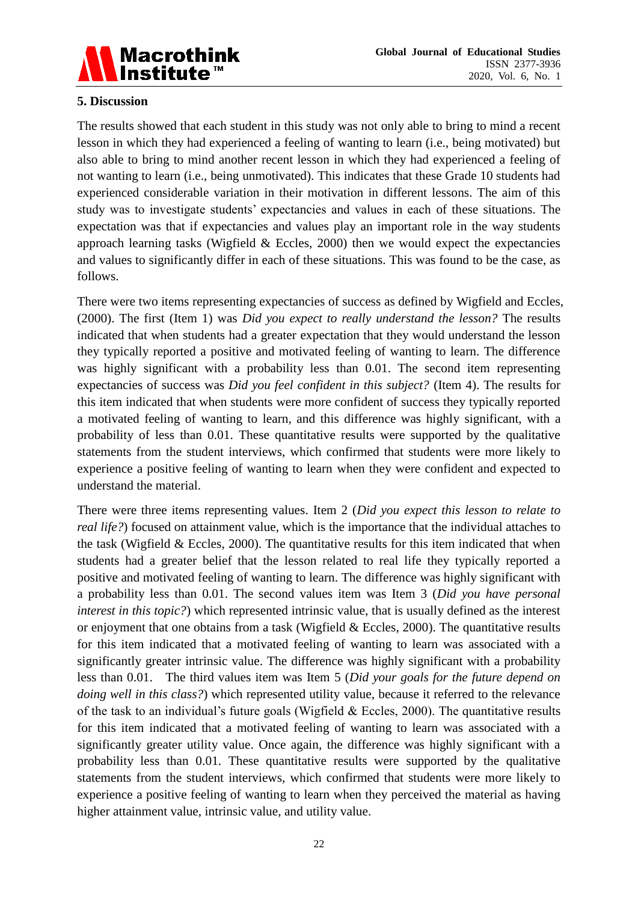

#### **5. Discussion**

The results showed that each student in this study was not only able to bring to mind a recent lesson in which they had experienced a feeling of wanting to learn (i.e., being motivated) but also able to bring to mind another recent lesson in which they had experienced a feeling of not wanting to learn (i.e., being unmotivated). This indicates that these Grade 10 students had experienced considerable variation in their motivation in different lessons. The aim of this study was to investigate students" expectancies and values in each of these situations. The expectation was that if expectancies and values play an important role in the way students approach learning tasks (Wigfield  $& Eccles, 2000$ ) then we would expect the expectancies and values to significantly differ in each of these situations. This was found to be the case, as follows.

There were two items representing expectancies of success as defined by Wigfield and Eccles, (2000). The first (Item 1) was *Did you expect to really understand the lesson?* The results indicated that when students had a greater expectation that they would understand the lesson they typically reported a positive and motivated feeling of wanting to learn. The difference was highly significant with a probability less than 0.01. The second item representing expectancies of success was *Did you feel confident in this subject?* (Item 4). The results for this item indicated that when students were more confident of success they typically reported a motivated feeling of wanting to learn, and this difference was highly significant, with a probability of less than 0.01. These quantitative results were supported by the qualitative statements from the student interviews, which confirmed that students were more likely to experience a positive feeling of wanting to learn when they were confident and expected to understand the material.

There were three items representing values. Item 2 (*Did you expect this lesson to relate to real life?*) focused on attainment value, which is the importance that the individual attaches to the task (Wigfield & Eccles, 2000). The quantitative results for this item indicated that when students had a greater belief that the lesson related to real life they typically reported a positive and motivated feeling of wanting to learn. The difference was highly significant with a probability less than 0.01. The second values item was Item 3 (*Did you have personal interest in this topic?*) which represented intrinsic value, that is usually defined as the interest or enjoyment that one obtains from a task (Wigfield & Eccles, 2000). The quantitative results for this item indicated that a motivated feeling of wanting to learn was associated with a significantly greater intrinsic value. The difference was highly significant with a probability less than 0.01. The third values item was Item 5 (*Did your goals for the future depend on doing well in this class?*) which represented utility value, because it referred to the relevance of the task to an individual's future goals (Wigfield  $& Eccles, 2000$ ). The quantitative results for this item indicated that a motivated feeling of wanting to learn was associated with a significantly greater utility value. Once again, the difference was highly significant with a probability less than 0.01. These quantitative results were supported by the qualitative statements from the student interviews, which confirmed that students were more likely to experience a positive feeling of wanting to learn when they perceived the material as having higher attainment value, intrinsic value, and utility value.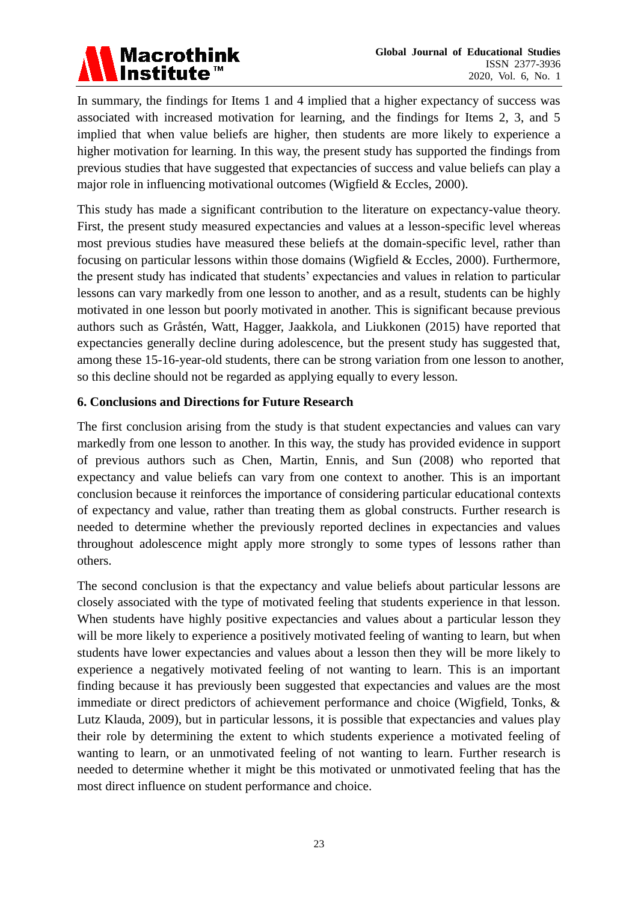## **Macrothink Institute™**

In summary, the findings for Items 1 and 4 implied that a higher expectancy of success was associated with increased motivation for learning, and the findings for Items 2, 3, and 5 implied that when value beliefs are higher, then students are more likely to experience a higher motivation for learning. In this way, the present study has supported the findings from previous studies that have suggested that expectancies of success and value beliefs can play a major role in influencing motivational outcomes (Wigfield & Eccles, 2000).

This study has made a significant contribution to the literature on expectancy-value theory. First, the present study measured expectancies and values at a lesson-specific level whereas most previous studies have measured these beliefs at the domain-specific level, rather than focusing on particular lessons within those domains (Wigfield & Eccles, 2000). Furthermore, the present study has indicated that students" expectancies and values in relation to particular lessons can vary markedly from one lesson to another, and as a result, students can be highly motivated in one lesson but poorly motivated in another. This is significant because previous authors such as Gråstén, Watt, Hagger, Jaakkola, and Liukkonen (2015) have reported that expectancies generally decline during adolescence, but the present study has suggested that, among these 15-16-year-old students, there can be strong variation from one lesson to another, so this decline should not be regarded as applying equally to every lesson.

#### **6. Conclusions and Directions for Future Research**

The first conclusion arising from the study is that student expectancies and values can vary markedly from one lesson to another. In this way, the study has provided evidence in support of previous authors such as Chen, Martin, Ennis, and Sun (2008) who reported that expectancy and value beliefs can vary from one context to another. This is an important conclusion because it reinforces the importance of considering particular educational contexts of expectancy and value, rather than treating them as global constructs. Further research is needed to determine whether the previously reported declines in expectancies and values throughout adolescence might apply more strongly to some types of lessons rather than others.

The second conclusion is that the expectancy and value beliefs about particular lessons are closely associated with the type of motivated feeling that students experience in that lesson. When students have highly positive expectancies and values about a particular lesson they will be more likely to experience a positively motivated feeling of wanting to learn, but when students have lower expectancies and values about a lesson then they will be more likely to experience a negatively motivated feeling of not wanting to learn. This is an important finding because it has previously been suggested that expectancies and values are the most immediate or direct predictors of achievement performance and choice (Wigfield, Tonks, & Lutz Klauda, 2009), but in particular lessons, it is possible that expectancies and values play their role by determining the extent to which students experience a motivated feeling of wanting to learn, or an unmotivated feeling of not wanting to learn. Further research is needed to determine whether it might be this motivated or unmotivated feeling that has the most direct influence on student performance and choice.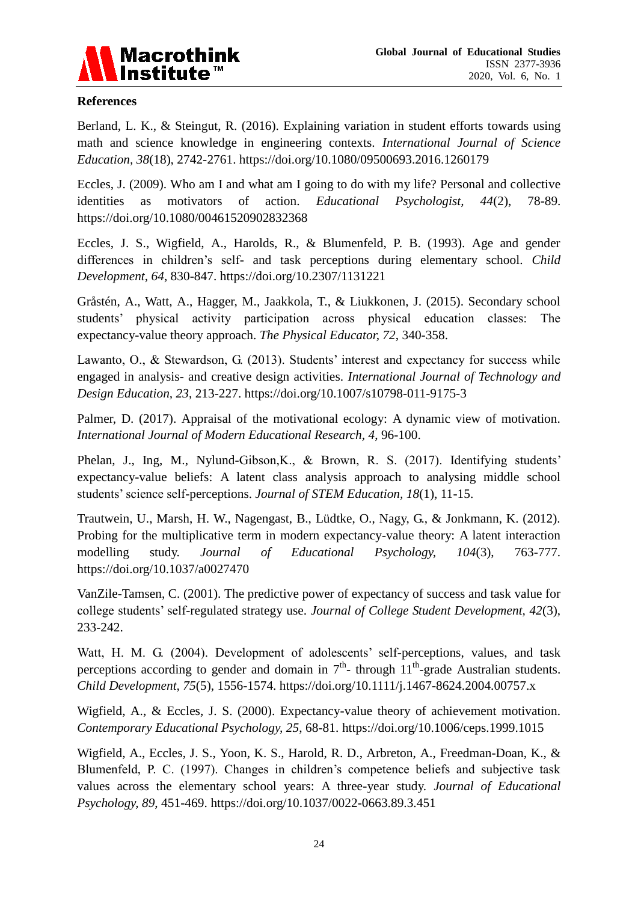

#### **References**

Berland, L. K., & Steingut, R. (2016). Explaining variation in student efforts towards using math and science knowledge in engineering contexts. *International Journal of Science Education, 38*(18), 2742-2761. https://doi.org/10.1080/09500693.2016.1260179

Eccles, J. (2009). Who am I and what am I going to do with my life? Personal and collective identities as motivators of action. *Educational Psychologist, 44*(2), 78-89. https://doi.org/10.1080/00461520902832368

Eccles, J. S., Wigfield, A., Harolds, R., & Blumenfeld, P. B. (1993). Age and gender differences in children"s self- and task perceptions during elementary school. *Child Development, 64*, 830-847. <https://doi.org/10.2307/1131221>

Gråstén, A., Watt, A., Hagger, M., Jaakkola, T., & Liukkonen, J. (2015). Secondary school students" physical activity participation across physical education classes: The expectancy-value theory approach. *The Physical Educator, 72*, 340-358.

Lawanto, O., & Stewardson, G. (2013). Students' interest and expectancy for success while engaged in analysis- and creative design activities. *International Journal of Technology and Design Education, 23*, 213-227. https://doi.org/10.1007/s10798-011-9175-3

Palmer, D. (2017). Appraisal of the motivational ecology: A dynamic view of motivation. *International Journal of Modern Educational Research, 4*, 96-100.

Phelan, J., Ing, M., Nylund-Gibson, K., & Brown, R. S. (2017). Identifying students' expectancy-value beliefs: A latent class analysis approach to analysing middle school students" science self-perceptions. *Journal of STEM Education, 18*(1), 11-15.

Trautwein, U., Marsh, H. W., Nagengast, B., Lüdtke, O., Nagy, G., & Jonkmann, K. (2012). Probing for the multiplicative term in modern expectancy-value theory: A latent interaction modelling study. *Journal of Educational Psychology, 104*(3), 763-777. https://doi.org/10.1037/a0027470

VanZile-Tamsen, C. (2001). The predictive power of expectancy of success and task value for college students" self-regulated strategy use. *Journal of College Student Development, 42*(3), 233-242.

Watt, H. M. G. (2004). Development of adolescents' self-perceptions, values, and task perceptions according to gender and domain in  $7<sup>th</sup>$ - through  $11<sup>th</sup>$ -grade Australian students. *Child Development, 75*(5), 1556-1574. https://doi.org/10.1111/j.1467-8624.2004.00757.x

Wigfield, A., & Eccles, J. S. (2000). Expectancy-value theory of achievement motivation. *Contemporary Educational Psychology, 25*, 68-81. https://doi.org/10.1006/ceps.1999.1015

Wigfield, A., Eccles, J. S., Yoon, K. S., Harold, R. D., Arbreton, A., Freedman-Doan, K., & Blumenfeld, P. C. (1997). Changes in children's competence beliefs and subjective task values across the elementary school years: A three-year study. *Journal of Educational Psychology, 89*, 451-469. <https://doi.org/10.1037/0022-0663.89.3.451>